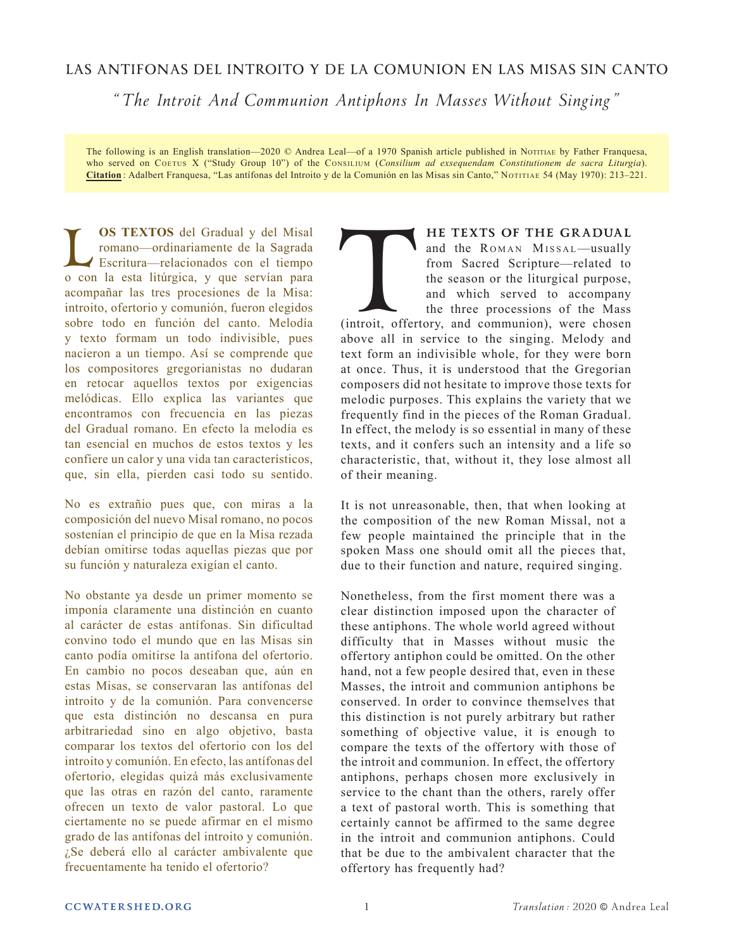# **LAS ANTIFONAS DEL INTROITO Y DE LA COMUNION EN LAS MISAS SIN CANTO**

*" The Introit And Communion Antiphons In Masses Without Singing "*

The following is an English translation—2020 © Andrea Leal—of a 1970 Spanish article published in Notitiae by Father Franquesa, who served on COETUS X ("Study Group 10") of the CONSILIUM (Consilium ad exsequendam Constitutionem de sacra Liturgia). **Citation** : Adalbert Franquesa, "Las antífonas del Introito y de la Comunión en las Misas sin Canto," Notitiae 54 (May 1970): 213–221.

**CS TEXTOS** del Gradual y del Misal romano—ordinariamente de la Sagrada<br>
Escritura—relacionados con el tiempo<br>
o con la esta litúrgica, y que servían para romano—ordinariamente de la Sagrada Escritura—relacionados con el tiempo acompañar las tres procesiones de la Misa: introito, ofertorio y comunión, fueron elegidos sobre todo en función del canto. Melodía y texto formam un todo indivisible, pues nacieron a un tiempo. Así se comprende que los compositores gregorianistas no dudaran en retocar aquellos textos por exigencias melódicas. Ello explica las variantes que encontramos con frecuencia en las piezas del Gradual romano. En efecto la melodía es tan esencial en muchos de estos textos y les confiere un calor y una vida tan característicos, que, sin ella, pierden casi todo su sentido.

No es extrañio pues que, con miras a la composición del nuevo Misal romano, no pocos sostenían el principio de que en la Misa rezada debían omitirse todas aquellas piezas que por su función y naturaleza exigían el canto.

No obstante ya desde un primer momento se imponía claramente una distinción en cuanto al carácter de estas antífonas. Sin dificultad convino todo el mundo que en las Misas sin canto podía omitirse la antífona del ofertorio. En cambio no pocos deseaban que, aún en estas Misas, se conservaran las antífonas del introito y de la comunión. Para convencerse que esta distinción no descansa en pura arbitrariedad sino en algo objetivo, basta comparar los textos del ofertorio con los del introito y comunión. En efecto, las antífonas del ofertorio, elegidas quizá más exclusivamente que las otras en razón del canto, raramente ofrecen un texto de valor pastoral. Lo que ciertamente no se puede afirmar en el mismo grado de las antífonas del introito y comunión. ¿Se deberá ello al carácter ambivalente que frecuentamente ha tenido el ofertorio?

# and the ROMAN MISSAL-usually from Sacred Scripture—related to the season or the liturgical purpose,

and which served to accompany

**HE TEXTS OF THE GRADUAL**<br>and the ROMAN MISSAL—usually<br>from Sacred Scripture—related to<br>the season or the liturgical purpose,<br>and which served to accompany<br>the three processions of the Mass<br>(introit, offertory, and communi the three processions of the Mass (introit, offertory, and communion), were chosen above all in service to the singing. Melody and text form an indivisible whole, for they were born at once. Thus, it is understood that the Gregorian composers did not hesitate to improve those texts for melodic purposes. This explains the variety that we frequently find in the pieces of the Roman Gradual. In effect, the melody is so essential in many of these texts, and it confers such an intensity and a life so characteristic, that, without it, they lose almost all of their meaning.

It is not unreasonable, then, that when looking at the composition of the new Roman Missal, not a few people maintained the principle that in the spoken Mass one should omit all the pieces that, due to their function and nature, required singing.

Nonetheless, from the first moment there was a clear distinction imposed upon the character of these antiphons. The whole world agreed without difficulty that in Masses without music the offertory antiphon could be omitted. On the other hand, not a few people desired that, even in these Masses, the introit and communion antiphons be conserved. In order to convince themselves that this distinction is not purely arbitrary but rather something of objective value, it is enough to compare the texts of the offertory with those of the introit and communion. In effect, the offertory antiphons, perhaps chosen more exclusively in service to the chant than the others, rarely offer a text of pastoral worth. This is something that certainly cannot be affirmed to the same degree in the introit and communion antiphons. Could that be due to the ambivalent character that the offertory has frequently had?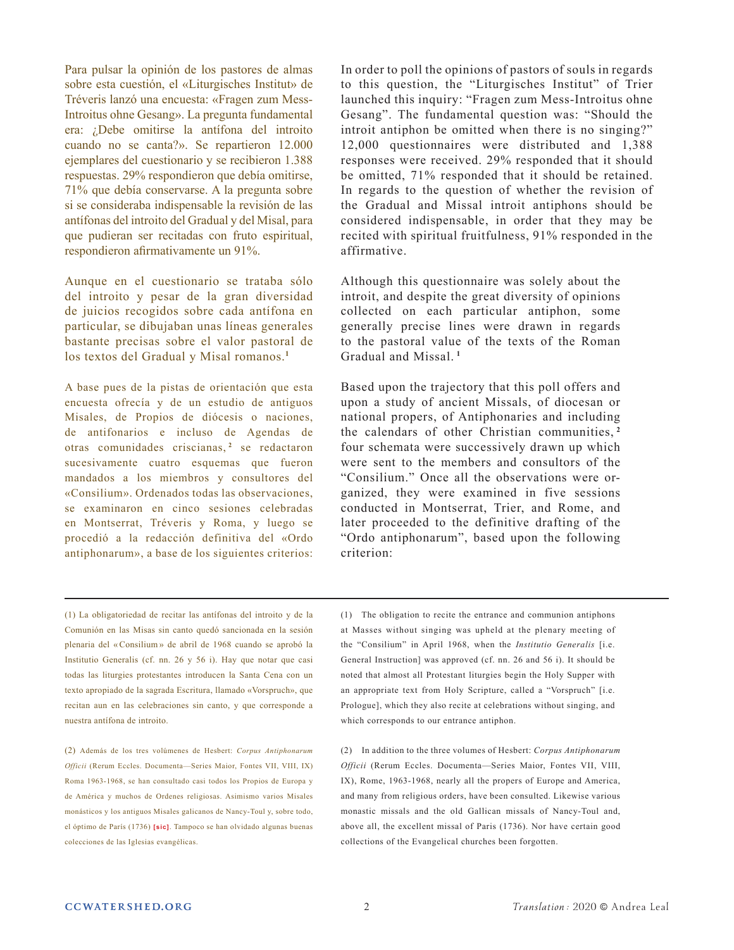Para pulsar la opinión de los pastores de almas sobre esta cuestión, el «Liturgisches Institut» de Tréveris lanzó una encuesta: «Fragen zum Mess-Introitus ohne Gesang». La pregunta fundamental era: ¿Debe omitirse la antífona del introito cuando no se canta?». Se repartieron 12.000 ejemplares del cuestionario y se recibieron 1.388 respuestas. 29% respondieron que debía omitirse, 71% que debía conservarse. A la pregunta sobre si se consideraba indispensable la revisión de las antífonas del introito del Gradual y del Misal, para que pudieran ser recitadas con fruto espiritual, respondieron afirmativamente un 91%.

Aunque en el cuestionario se trataba sólo del introito y pesar de la gran diversidad de juicios recogidos sobre cada antífona en particular, se dibujaban unas líneas generales bastante precisas sobre el valor pastoral de los textos del Gradual y Misal romanos.**<sup>1</sup>**

A base pues de la pistas de orientación que esta encuesta ofrecía y de un estudio de antiguos Misales, de Propios de diócesis o naciones, de antifonarios e incluso de Agendas de otras comunidades criscianas,<sup>2</sup> se redactaron sucesivamente cuatro esquemas que fueron mandados a los miembros y consultores del «Consilium». Ordenados todas las observaciones, se examinaron en cinco sesiones celebradas en Montserrat, Tréveris y Roma, y luego se procedió a la redacción definitiva del «Ordo antiphonarum», a base de los siguientes criterios:

In order to poll the opinions of pastors of souls in regards to this question, the "Liturgisches Institut" of Trier launched this inquiry: "Fragen zum Mess-Introitus ohne Gesang". The fundamental question was: "Should the introit antiphon be omitted when there is no singing?" 12,000 questionnaires were distributed and 1,388 responses were received. 29% responded that it should be omitted, 71% responded that it should be retained. In regards to the question of whether the revision of the Gradual and Missal introit antiphons should be considered indispensable, in order that they may be recited with spiritual fruitfulness, 91% responded in the affirmative.

Although this questionnaire was solely about the introit, and despite the great diversity of opinions collected on each particular antiphon, some generally precise lines were drawn in regards to the pastoral value of the texts of the Roman Gradual and Missal. **<sup>1</sup>**

Based upon the trajectory that this poll offers and upon a study of ancient Missals, of diocesan or national propers, of Antiphonaries and including the calendars of other Christian communities, **<sup>2</sup>** four schemata were successively drawn up which were sent to the members and consultors of the "Consilium." Once all the observations were organized, they were examined in five sessions conducted in Montserrat, Trier, and Rome, and later proceeded to the definitive drafting of the "Ordo antiphonarum", based upon the following criterion:

(1) La obligatoriedad de recitar las antífonas del introito y de la Comunión en las Misas sin canto quedó sancionada en la sesión plenaria del « Consilium » de abril de 1968 cuando se aprobó la Institutio Generalis (cf. nn. 26 y 56 i). Hay que notar que casi todas las liturgies protestantes introducen la Santa Cena con un texto apropiado de la sagrada Escritura, llamado «Vorspruch», que recitan aun en las celebraciones sin canto, y que corresponde a nuestra antífona de introito.

(2) Además de los tres volúmenes de Hesbert: *Corpus Antiphonarum Officii* (Rerum Eccles. Documenta—Series Maior, Fontes VII, VIII, IX) Roma 1963-1968, se han consultado casi todos los Propios de Europa y de América y muchos de Ordenes religiosas. Asimismo varios Misales monásticos y los antiguos Misales galicanos de Nancy-Toul y, sobre todo, el óptimo de París (1736) **[sic]**. Tampoco se han olvidado algunas buenas colecciones de las Iglesias evangélicas.

(1) The obligation to recite the entrance and communion antiphons at Masses without singing was upheld at the plenary meeting of the "Consilium" in April 1968, when the *Institutio Generalis* [i.e. General Instruction] was approved (cf. nn. 26 and 56 i). It should be noted that almost all Protestant liturgies begin the Holy Supper with an appropriate text from Holy Scripture, called a "Vorspruch" [i.e. Prologue], which they also recite at celebrations without singing, and which corresponds to our entrance antiphon.

(2) In addition to the three volumes of Hesbert: *Corpus Antiphonarum Officii* (Rerum Eccles. Documenta—Series Maior, Fontes VII, VIII, IX), Rome, 1963-1968, nearly all the propers of Europe and America, and many from religious orders, have been consulted. Likewise various monastic missals and the old Gallican missals of Nancy-Toul and, above all, the excellent missal of Paris (1736). Nor have certain good collections of the Evangelical churches been forgotten.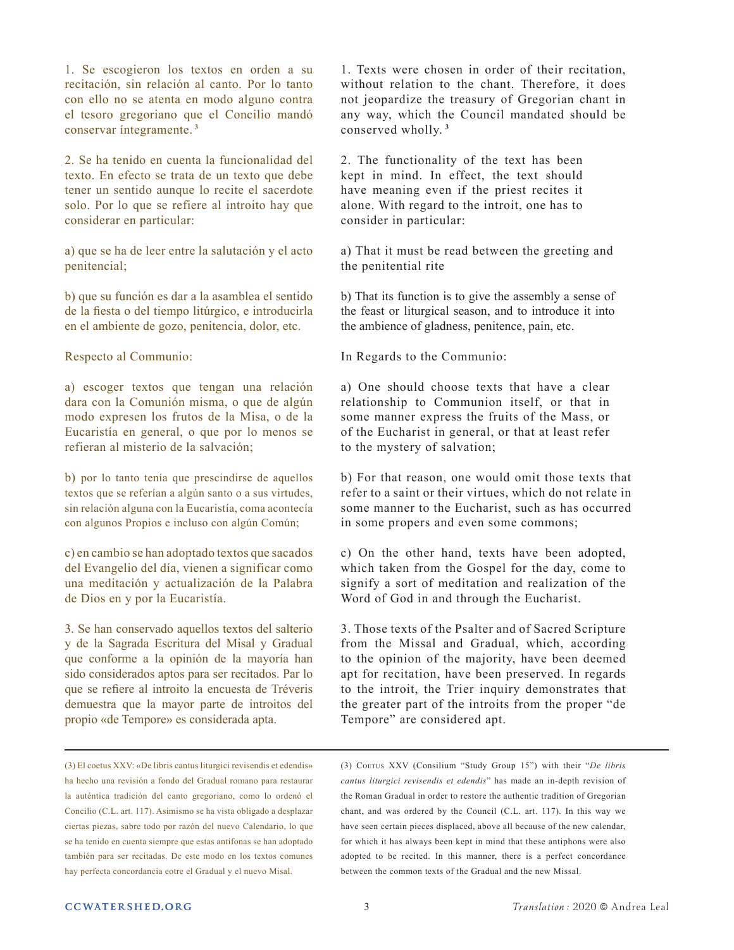1. Se escogieron los textos en orden a su recitación, sin relación al canto. Por lo tanto con ello no se atenta en modo alguno contra el tesoro gregoriano que el Concilio mandó conservar íntegramente. **<sup>3</sup>**

2. Se ha tenido en cuenta la funcionalidad del texto. En efecto se trata de un texto que debe tener un sentido aunque lo recite el sacerdote solo. Por lo que se refiere al introito hay que considerar en particular:

a) que se ha de leer entre la salutación y el acto penitencial;

b) que su función es dar a la asamblea el sentido de la fiesta o del tiempo litúrgico, e introducirla en el ambiente de gozo, penitencia, dolor, etc.

Respecto al Communio:

a) escoger textos que tengan una relación dara con la Comunión misma, o que de algún modo expresen los frutos de la Misa, o de la Eucaristía en general, o que por lo menos se refieran al misterio de la salvación;

b) por lo tanto tenía que prescindirse de aquellos textos que se referían a algún santo o a sus virtudes, sin relación alguna con la Eucaristía, coma acontecía con algunos Propios e incluso con algún Común;

c) en cambio se han adoptado textos que sacados del Evangelio del día, vienen a significar como una meditación y actualización de la Palabra de Dios en y por la Eucaristía.

3. Se han conservado aquellos textos del salterio y de la Sagrada Escritura del Misal y Gradual que conforme a la opinión de la mayoría han sido considerados aptos para ser recitados. Par lo que se refiere al introito la encuesta de Tréveris demuestra que la mayor parte de introitos del propio «de Tempore» es considerada apta.

(3) El coetus XXV: «De libris cantus liturgici revisendis et edendis» ha hecho una revisión a fondo del Gradual romano para restaurar la auténtica tradición del canto gregoriano, como lo ordenó el Concilio (C.L. art. 117). Asimismo se ha vista obligado a desplazar ciertas piezas, sabre todo por razón del nuevo Calendario, lo que se ha tenido en cuenta siempre que estas antífonas se han adoptado también para ser recitadas. De este modo en los textos comunes hay perfecta concordancia eotre el Gradual y el nuevo Misal.

1. Texts were chosen in order of their recitation, without relation to the chant. Therefore, it does not jeopardize the treasury of Gregorian chant in any way, which the Council mandated should be conserved wholly. **<sup>3</sup>**

2. The functionality of the text has been kept in mind. In effect, the text should have meaning even if the priest recites it alone. With regard to the introit, one has to consider in particular:

a) That it must be read between the greeting and the penitential rite

b) That its function is to give the assembly a sense of the feast or liturgical season, and to introduce it into the ambience of gladness, penitence, pain, etc.

In Regards to the Communio:

a) One should choose texts that have a clear relationship to Communion itself, or that in some manner express the fruits of the Mass, or of the Eucharist in general, or that at least refer to the mystery of salvation;

b) For that reason, one would omit those texts that refer to a saint or their virtues, which do not relate in some manner to the Eucharist, such as has occurred in some propers and even some commons;

c) On the other hand, texts have been adopted, which taken from the Gospel for the day, come to signify a sort of meditation and realization of the Word of God in and through the Eucharist.

3. Those texts of the Psalter and of Sacred Scripture from the Missal and Gradual, which, according to the opinion of the majority, have been deemed apt for recitation, have been preserved. In regards to the introit, the Trier inquiry demonstrates that the greater part of the introits from the proper "de Tempore" are considered apt.

(3) Coetus XXV (Consilium "Study Group 15") with their "*De libris cantus liturgici revisendis et edendis*" has made an in-depth revision of the Roman Gradual in order to restore the authentic tradition of Gregorian chant, and was ordered by the Council (C.L. art. 117). In this way we have seen certain pieces displaced, above all because of the new calendar, for which it has always been kept in mind that these antiphons were also adopted to be recited. In this manner, there is a perfect concordance between the common texts of the Gradual and the new Missal.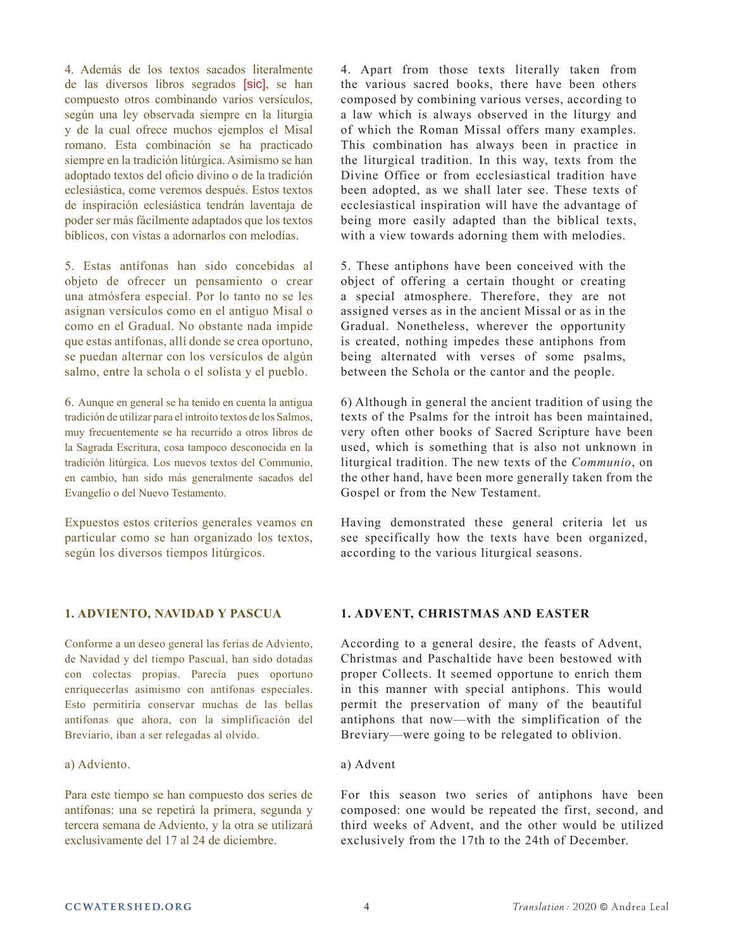4. Además de los textos sacados literalmente de las diversos libros segrados [sic], se han compuesto otros combinando varios versículos, según una ley observada siempre en la liturgia y de la cual ofrece muchos ejemplos el Misal romano. Esta combinación se ha practicado siempre en la tradición litúrgica. Asimismo se han adoptado textos del oficio divino o de la tradición eclesiástica, come veremos después. Estos textos de inspiración eclesiástica tendrán laventaja de poder ser más fácilmente adaptados que los textos bíblicos, con vistas a adornarlos con melodías.

5. Estas antífonas han sido concebidas al objeto de ofrecer un pensamiento o crear una atmósfera especial. Por lo tanto no se les asignan versículos como en el antiguo Misal o como en el Gradual. No obstante nada impide que estas antífonas, allí donde se crea oportuno, se puedan alternar con los versículos de algún salmo, entre la schola o el solista y el pueblo.

6. Aunque en general se ha tenido en cuenta la antigua tradición de utilizar para el introito textos de los Salmos, muy frecuentemente se ha recurrido a otros libros de la Sagrada Escritura, cosa tampoco desconocida en la tradición litúrgica. Los nuevos textos del Communio, en cambio, han sido más generalmente sacados del Evangelio o del Nuevo Testamento.

Expuestos estos criterios generales veamos en particular como se han organizado los textos, según los diversos tiempos litúrgicos.

# **1. ADVIENTO, NAVIDAD Y PASCUA**

Conforme a un deseo general las ferias de Adviento, de Navidad y del tiempo Pascual, han sido dotadas con colectas propias. Parecía pues oportuno enriquecerlas asimismo con antífonas especiales. Esto permitiría conservar muchas de las bellas antífonas que ahora, con la simplificación del Breviario, iban a ser relegadas al olvido.

# a) Adviento.

Para este tiempo se han compuesto dos series de antífonas: una se repetirá la primera, segunda y tercera semana de Adviento, y la otra se utilizará exclusivamente del 17 al 24 de diciembre.

4. Apart from those texts literally taken from the various sacred books, there have been others composed by combining various verses, according to a law which is always observed in the liturgy and of which the Roman Missal offers many examples. This combination has always been in practice in the liturgical tradition. In this way, texts from the Divine Office or from ecclesiastical tradition have been adopted, as we shall later see. These texts of ecclesiastical inspiration will have the advantage of being more easily adapted than the biblical texts, with a view towards adorning them with melodies.

5. These antiphons have been conceived with the object of offering a certain thought or creating a special atmosphere. Therefore, they are not assigned verses as in the ancient Missal or as in the Gradual. Nonetheless, wherever the opportunity is created, nothing impedes these antiphons from being alternated with verses of some psalms, between the Schola or the cantor and the people.

6) Although in general the ancient tradition of using the texts of the Psalms for the introit has been maintained, very often other books of Sacred Scripture have been used, which is something that is also not unknown in liturgical tradition. The new texts of the *Communio*, on the other hand, have been more generally taken from the Gospel or from the New Testament.

Having demonstrated these general criteria let us see specifically how the texts have been organized, according to the various liturgical seasons.

# **1. ADVENT, CHRISTMAS AND EASTER**

According to a general desire, the feasts of Advent, Christmas and Paschaltide have been bestowed with proper Collects. It seemed opportune to enrich them in this manner with special antiphons. This would permit the preservation of many of the beautiful antiphons that now—with the simplification of the Breviary—were going to be relegated to oblivion.

# a) Advent

For this season two series of antiphons have been composed: one would be repeated the first, second, and third weeks of Advent, and the other would be utilized exclusively from the 17th to the 24th of December.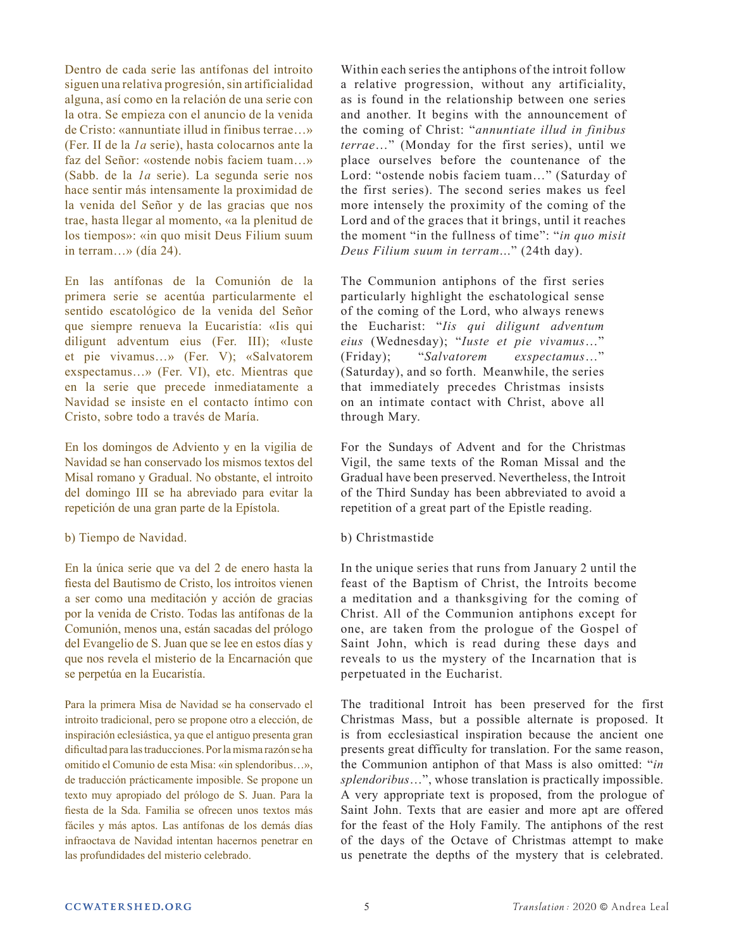Dentro de cada serie las antífonas del introito siguen una relativa progresión, sin artificialidad alguna, así como en la relación de una serie con la otra. Se empieza con el anuncio de la venida de Cristo: «annuntiate illud in finibus terrae…» (Fer. II de la *1a* serie), hasta colocarnos ante la faz del Señor: «ostende nobis faciem tuam…» (Sabb. de la *1a* serie). La segunda serie nos hace sentir más intensamente la proximidad de la venida del Señor y de las gracias que nos trae, hasta llegar al momento, «a la plenitud de los tiempos»: «in quo misit Deus Filium suum in terram…» (día 24).

En las antífonas de la Comunión de la primera serie se acentúa particularmente el sentido escatológico de la venida del Señor que siempre renueva la Eucaristía: «Iis qui diligunt adventum eius (Fer. III); «Iuste et pie vivamus…» (Fer. V); «Salvatorem exspectamus…» (Fer. VI), etc. Mientras que en la serie que precede inmediatamente a Navidad se insiste en el contacto íntimo con Cristo, sobre todo a través de María.

En los domingos de Adviento y en la vigilia de Navidad se han conservado los mismos textos del Misal romano y Gradual. No obstante, el introito del domingo III se ha abreviado para evitar la repetición de una gran parte de la Epístola.

b) Tiempo de Navidad.

En la única serie que va del 2 de enero hasta la fiesta del Bautismo de Cristo, los introitos vienen a ser como una meditación y acción de gracias por la venida de Cristo. Todas las antífonas de la Comunión, menos una, están sacadas del prólogo del Evangelio de S. Juan que se lee en estos días y que nos revela el misterio de la Encarnación que se perpetúa en la Eucaristía.

Para la primera Misa de Navidad se ha conservado el introito tradicional, pero se propone otro a elección, de inspiración eclesiástica, ya que el antiguo presenta gran dificultad para las traducciones. Por la misma razón se ha omitido el Comunio de esta Misa: «in splendoribus…», de traducción prácticamente imposible. Se propone un texto muy apropiado del prólogo de S. Juan. Para la fiesta de la Sda. Familia se ofrecen unos textos más fáciles y más aptos. Las antífonas de los demás días infraoctava de Navidad intentan hacernos penetrar en las profundidades del misterio celebrado.

Within each series the antiphons of the introit follow a relative progression, without any artificiality, as is found in the relationship between one series and another. It begins with the announcement of the coming of Christ: "*annuntiate illud in finibus terrae*…" (Monday for the first series), until we place ourselves before the countenance of the Lord: "ostende nobis faciem tuam…" (Saturday of the first series). The second series makes us feel more intensely the proximity of the coming of the Lord and of the graces that it brings, until it reaches the moment "in the fullness of time": "*in quo misit Deus Filium suum in terram*..." (24th day).

The Communion antiphons of the first series particularly highlight the eschatological sense of the coming of the Lord, who always renews the Eucharist: "*Iis qui diligunt adventum eius* (Wednesday); "*Iuste et pie vivamus*…" (Friday); "*Salvatorem exspectamus*…" (Saturday), and so forth. Meanwhile, the series that immediately precedes Christmas insists on an intimate contact with Christ, above all through Mary.

For the Sundays of Advent and for the Christmas Vigil, the same texts of the Roman Missal and the Gradual have been preserved. Nevertheless, the Introit of the Third Sunday has been abbreviated to avoid a repetition of a great part of the Epistle reading.

# b) Christmastide

In the unique series that runs from January 2 until the feast of the Baptism of Christ, the Introits become a meditation and a thanksgiving for the coming of Christ. All of the Communion antiphons except for one, are taken from the prologue of the Gospel of Saint John, which is read during these days and reveals to us the mystery of the Incarnation that is perpetuated in the Eucharist.

The traditional Introit has been preserved for the first Christmas Mass, but a possible alternate is proposed. It is from ecclesiastical inspiration because the ancient one presents great difficulty for translation. For the same reason, the Communion antiphon of that Mass is also omitted: "*in splendoribus*…", whose translation is practically impossible. A very appropriate text is proposed, from the prologue of Saint John. Texts that are easier and more apt are offered for the feast of the Holy Family. The antiphons of the rest of the days of the Octave of Christmas attempt to make us penetrate the depths of the mystery that is celebrated.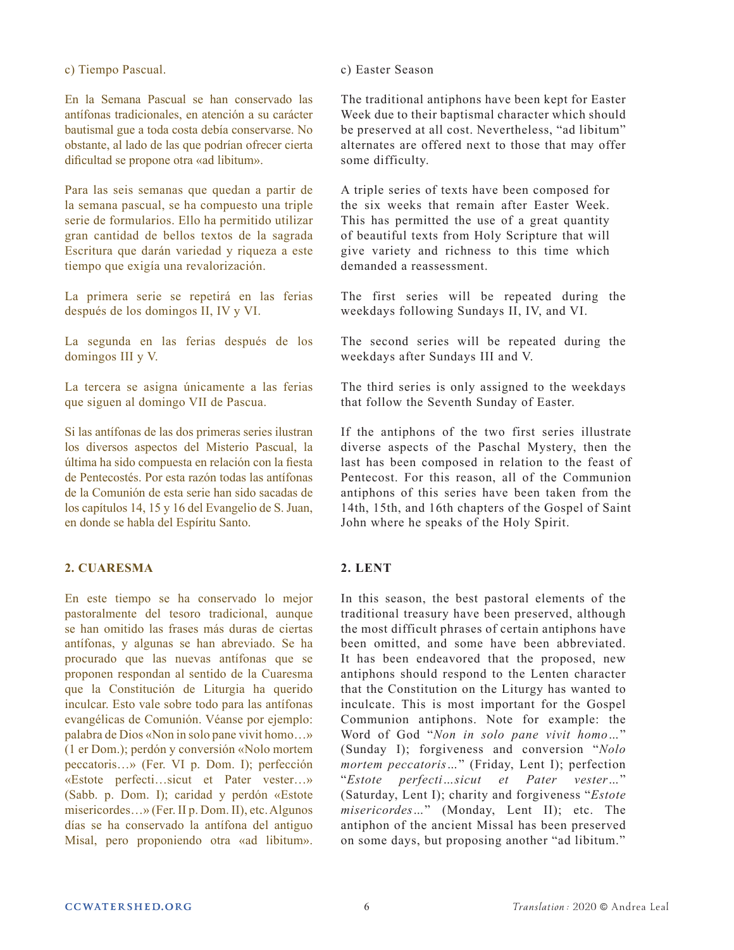c) Tiempo Pascual.

En la Semana Pascual se han conservado las antífonas tradicionales, en atención a su carácter bautismal gue a toda costa debía conservarse. No obstante, al lado de las que podrían ofrecer cierta dificultad se propone otra «ad libitum».

Para las seis semanas que quedan a partir de la semana pascual, se ha compuesto una triple serie de formularios. Ello ha permitido utilizar gran cantidad de bellos textos de la sagrada Escritura que darán variedad y riqueza a este tiempo que exigía una revalorización.

La primera serie se repetirá en las ferias después de los domingos II, IV y VI.

La segunda en las ferias después de los domingos III y V.

La tercera se asigna únicamente a las ferias que siguen al domingo VII de Pascua.

Si las antífonas de las dos primeras series ilustran los diversos aspectos del Misterio Pascual, la última ha sido compuesta en relación con la fiesta de Pentecostés. Por esta razón todas las antífonas de la Comunión de esta serie han sido sacadas de los capítulos 14, 15 y 16 del Evangelio de S. Juan, en donde se habla del Espíritu Santo.

# **2. CUARESMA**

En este tiempo se ha conservado lo mejor pastoralmente del tesoro tradicional, aunque se han omitido las frases más duras de ciertas antífonas, y algunas se han abreviado. Se ha procurado que las nuevas antífonas que se proponen respondan al sentido de la Cuaresma que la Constitución de Liturgia ha querido inculcar. Esto vale sobre todo para las antífonas evangélicas de Comunión. Véanse por ejemplo: palabra de Dios «Non in solo pane vivit homo…» (1 er Dom.); perdón y conversión «Nolo mortem peccatoris…» (Fer. VI p. Dom. I); perfección «Estote perfecti…sicut et Pater vester…» (Sabb. p. Dom. I); caridad y perdón «Estote misericordes…» (Fer. II p. Dom. II), etc. Algunos días se ha conservado la antífona del antiguo Misal, pero proponiendo otra «ad libitum».

### c) Easter Season

The traditional antiphons have been kept for Easter Week due to their baptismal character which should be preserved at all cost. Nevertheless, "ad libitum" alternates are offered next to those that may offer some difficulty.

A triple series of texts have been composed for the six weeks that remain after Easter Week. This has permitted the use of a great quantity of beautiful texts from Holy Scripture that will give variety and richness to this time which demanded a reassessment.

The first series will be repeated during the weekdays following Sundays II, IV, and VI.

The second series will be repeated during the weekdays after Sundays III and V.

The third series is only assigned to the weekdays that follow the Seventh Sunday of Easter.

If the antiphons of the two first series illustrate diverse aspects of the Paschal Mystery, then the last has been composed in relation to the feast of Pentecost. For this reason, all of the Communion antiphons of this series have been taken from the 14th, 15th, and 16th chapters of the Gospel of Saint John where he speaks of the Holy Spirit.

# **2. LENT**

In this season, the best pastoral elements of the traditional treasury have been preserved, although the most difficult phrases of certain antiphons have been omitted, and some have been abbreviated. It has been endeavored that the proposed, new antiphons should respond to the Lenten character that the Constitution on the Liturgy has wanted to inculcate. This is most important for the Gospel Communion antiphons. Note for example: the Word of God "*Non in solo pane vivit homo…*" (Sunday I); forgiveness and conversion "*Nolo mortem peccatoris…*" (Friday, Lent I); perfection "*Estote perfecti…sicut et Pater vester…*" (Saturday, Lent I); charity and forgiveness "*Estote misericordes…*" (Monday, Lent II); etc. The antiphon of the ancient Missal has been preserved on some days, but proposing another "ad libitum."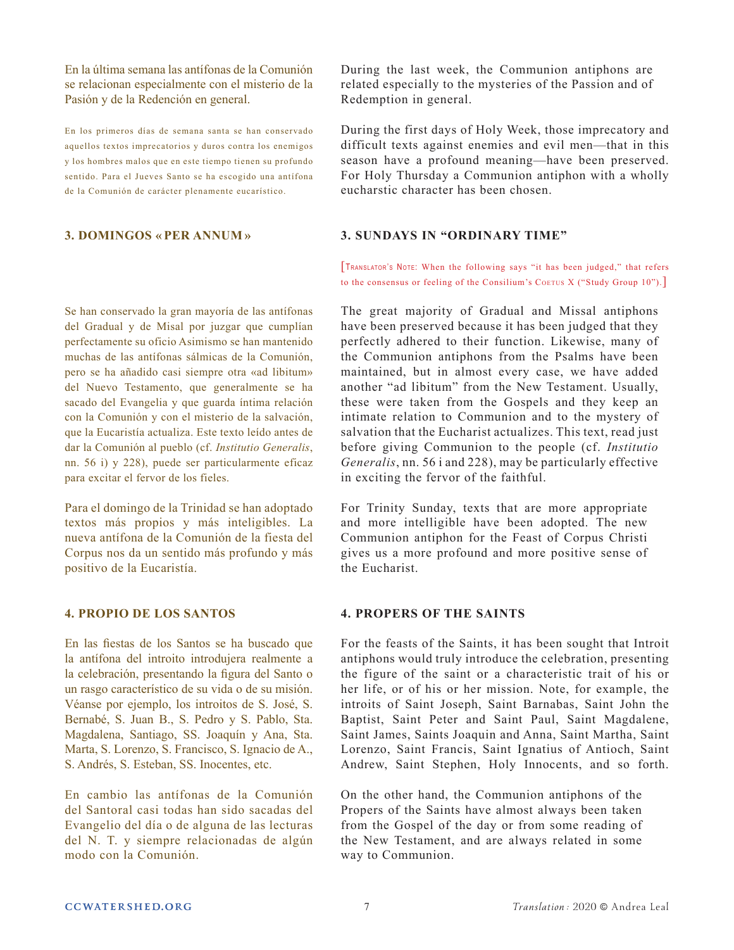En la última semana las antífonas de la Comunión se relacionan especialmente con el misterio de la Pasión y de la Redención en general.

En los primeros días de semana santa se han conservado aquellos textos imprecatorios y duros contra los enemigos y los hombres malos que en este tiempo tienen su profundo sentido. Para el Jueves Santo se ha escogido una antífona de la Comunión de carácter plenamente eucarístico.

### **3. DOMINGOS « PER ANNUM »**

Se han conservado la gran mayoría de las antífonas del Gradual y de Misal por juzgar que cumplían perfectamente su oficio Asimismo se han mantenido muchas de las antífonas sálmicas de la Comunión, pero se ha añadido casi siempre otra «ad libitum» del Nuevo Testamento, que generalmente se ha sacado del Evangelia y que guarda íntima relación con la Comunión y con el misterio de la salvación, que la Eucaristía actualiza. Este texto leído antes de dar la Comunión al pueblo (cf. *Institutio Generalis*, nn. 56 i) y 228), puede ser particularmente eficaz para excitar el fervor de los fieles.

Para el domingo de la Trinidad se han adoptado textos más propios y más inteligibles. La nueva antífona de la Comunión de la fiesta del Corpus nos da un sentido más profundo y más positivo de la Eucaristía.

# **4. PROPIO DE LOS SANTOS**

En las fiestas de los Santos se ha buscado que la antífona del introito introdujera realmente a la celebración, presentando la figura del Santo o un rasgo característico de su vida o de su misión. Véanse por ejemplo, los introitos de S. José, S. Bernabé, S. Juan B., S. Pedro y S. Pablo, Sta. Magdalena, Santiago, SS. Joaquín y Ana, Sta. Marta, S. Lorenzo, S. Francisco, S. Ignacio de A., S. Andrés, S. Esteban, SS. Inocentes, etc.

En cambio las antífonas de la Comunión del Santoral casi todas han sido sacadas del Evangelio del día o de alguna de las lecturas del N. T. y siempre relacionadas de algún modo con la Comunión.

During the last week, the Communion antiphons are related especially to the mysteries of the Passion and of Redemption in general.

During the first days of Holy Week, those imprecatory and difficult texts against enemies and evil men—that in this season have a profound meaning—have been preserved. For Holy Thursday a Communion antiphon with a wholly eucharstic character has been chosen.

### **3. SUNDAYS IN "ORDINARY TIME"**

[Translator's Note: When the following says "it has been judged," that refers to the consensus or feeling of the Consilium's Coerus X ("Study Group 10").

The great majority of Gradual and Missal antiphons have been preserved because it has been judged that they perfectly adhered to their function. Likewise, many of the Communion antiphons from the Psalms have been maintained, but in almost every case, we have added another "ad libitum" from the New Testament. Usually, these were taken from the Gospels and they keep an intimate relation to Communion and to the mystery of salvation that the Eucharist actualizes. This text, read just before giving Communion to the people (cf. *Institutio Generalis*, nn. 56 i and 228), may be particularly effective in exciting the fervor of the faithful.

For Trinity Sunday, texts that are more appropriate and more intelligible have been adopted. The new Communion antiphon for the Feast of Corpus Christi gives us a more profound and more positive sense of the Eucharist.

# **4. PROPERS OF THE SAINTS**

For the feasts of the Saints, it has been sought that Introit antiphons would truly introduce the celebration, presenting the figure of the saint or a characteristic trait of his or her life, or of his or her mission. Note, for example, the introits of Saint Joseph, Saint Barnabas, Saint John the Baptist, Saint Peter and Saint Paul, Saint Magdalene, Saint James, Saints Joaquin and Anna, Saint Martha, Saint Lorenzo, Saint Francis, Saint Ignatius of Antioch, Saint Andrew, Saint Stephen, Holy Innocents, and so forth.

On the other hand, the Communion antiphons of the Propers of the Saints have almost always been taken from the Gospel of the day or from some reading of the New Testament, and are always related in some way to Communion.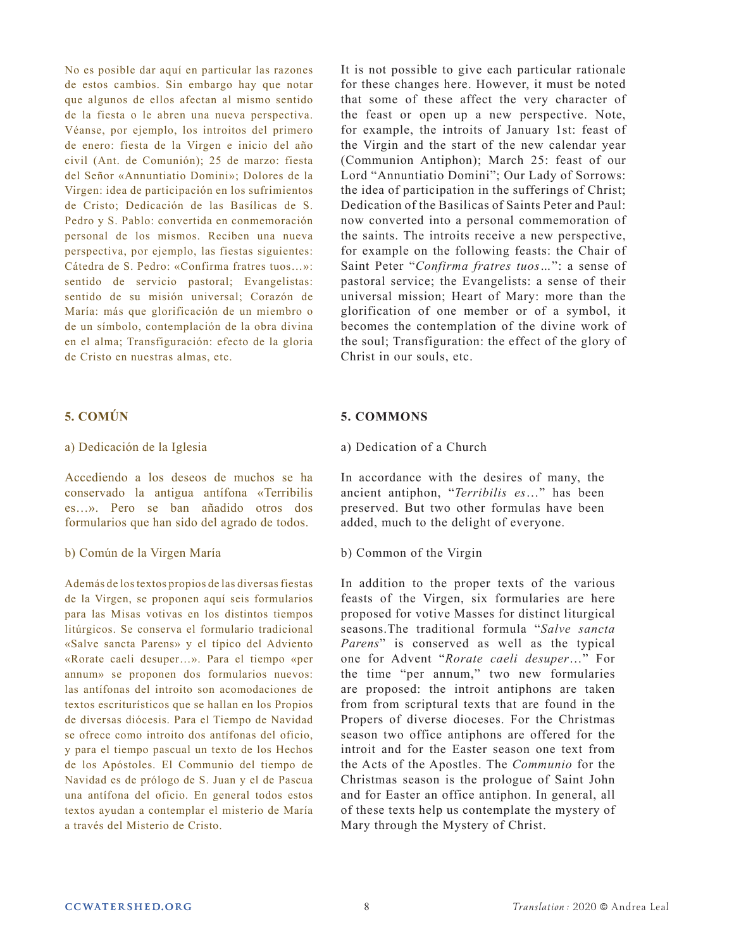No es posible dar aquí en particular las razones de estos cambios. Sin embargo hay que notar que algunos de ellos afectan al mismo sentido de la fiesta o le abren una nueva perspectiva. Véanse, por ejemplo, los introitos del primero de enero: fiesta de la Virgen e inicio del año civil (Ant. de Comunión); 25 de marzo: fiesta del Señor «Annuntiatio Domini»; Dolores de la Virgen: idea de participación en los sufrimientos de Cristo; Dedicación de las Basílicas de S. Pedro y S. Pablo: convertida en conmemoración personal de los mismos. Reciben una nueva perspectiva, por ejemplo, las fiestas siguientes: Cátedra de S. Pedro: «Confirma fratres tuos…»: sentido de servicio pastoral; Evangelistas: sentido de su misión universal; Corazón de María: más que glorificación de un miembro o de un símbolo, contemplación de la obra divina en el alma; Transfiguración: efecto de la gloria de Cristo en nuestras almas, etc.

# **5. COMÚN**

### a) Dedicación de la Iglesia

Accediendo a los deseos de muchos se ha conservado la antigua antífona «Terribilis es…». Pero se ban añadido otros dos formularios que han sido del agrado de todos.

### b) Común de la Virgen María

Además de los textos propios de las diversas fiestas de la Virgen, se proponen aquí seis formularios para las Misas votivas en los distintos tiempos litúrgicos. Se conserva el formulario tradicional «Salve sancta Parens» y el típico del Adviento «Rorate caeli desuper…». Para el tiempo «per annum» se proponen dos formularios nuevos: las antífonas del introito son acomodaciones de textos escriturísticos que se hallan en los Propios de diversas diócesis. Para el Tiempo de Navidad se ofrece como introito dos antífonas del oficio, y para el tiempo pascual un texto de los Hechos de los Apóstoles. El Communio del tiempo de Navidad es de prólogo de S. Juan y el de Pascua una antífona del oficio. En general todos estos textos ayudan a contemplar el misterio de María a través del Misterio de Cristo.

It is not possible to give each particular rationale for these changes here. However, it must be noted that some of these affect the very character of the feast or open up a new perspective. Note, for example, the introits of January 1st: feast of the Virgin and the start of the new calendar year (Communion Antiphon); March 25: feast of our Lord "Annuntiatio Domini"; Our Lady of Sorrows: the idea of participation in the sufferings of Christ; Dedication of the Basilicas of Saints Peter and Paul: now converted into a personal commemoration of the saints. The introits receive a new perspective, for example on the following feasts: the Chair of Saint Peter "*Confirma fratres tuos…*": a sense of pastoral service; the Evangelists: a sense of their universal mission; Heart of Mary: more than the glorification of one member or of a symbol, it becomes the contemplation of the divine work of the soul; Transfiguration: the effect of the glory of Christ in our souls, etc.

# **5. COMMONS**

### a) Dedication of a Church

In accordance with the desires of many, the ancient antiphon, "*Terribilis es*…" has been preserved. But two other formulas have been added, much to the delight of everyone.

### b) Common of the Virgin

In addition to the proper texts of the various feasts of the Virgen, six formularies are here proposed for votive Masses for distinct liturgical seasons.The traditional formula "*Salve sancta Parens*" is conserved as well as the typical one for Advent "*Rorate caeli desuper*…" For the time "per annum," two new formularies are proposed: the introit antiphons are taken from from scriptural texts that are found in the Propers of diverse dioceses. For the Christmas season two office antiphons are offered for the introit and for the Easter season one text from the Acts of the Apostles. The *Communio* for the Christmas season is the prologue of Saint John and for Easter an office antiphon. In general, all of these texts help us contemplate the mystery of Mary through the Mystery of Christ.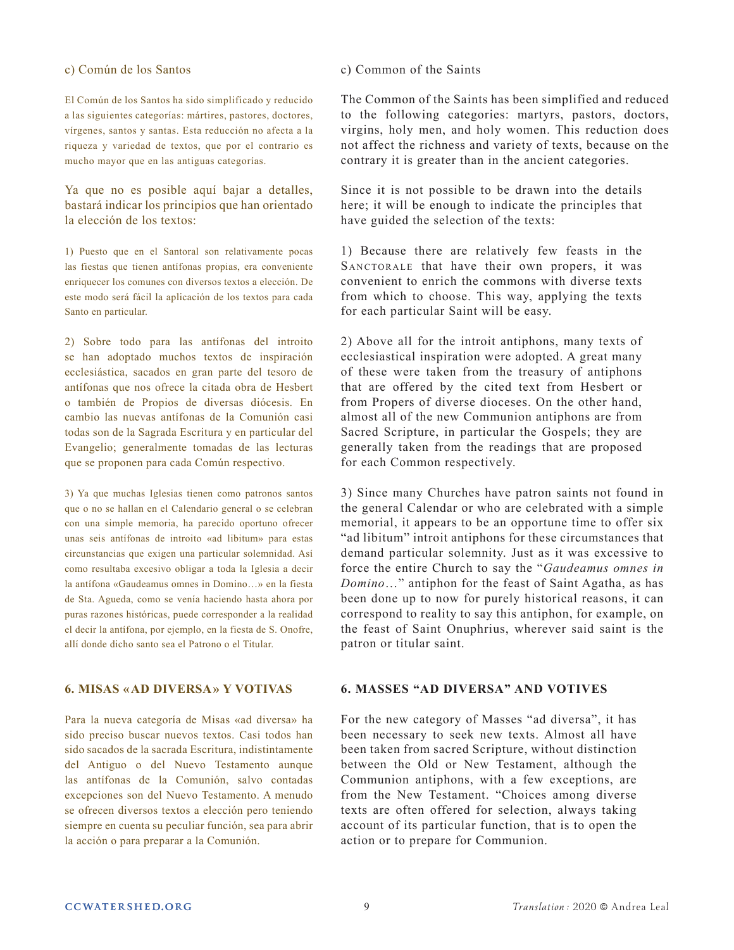### c) Común de los Santos

El Común de los Santos ha sido simplificado y reducido a las siguientes categorías: mártires, pastores, doctores, vírgenes, santos y santas. Esta reducción no afecta a la riqueza y variedad de textos, que por el contrario es mucho mayor que en las antiguas categorías.

Ya que no es posible aquí bajar a detalles, bastará indicar los principios que han orientado la elección de los textos:

1) Puesto que en el Santoral son relativamente pocas las fiestas que tienen antífonas propias, era conveniente enriquecer los comunes con diversos textos a elección. De este modo será fácil la aplicación de los textos para cada Santo en particular.

2) Sobre todo para las antífonas del introito se han adoptado muchos textos de inspiración ecclesiástica, sacados en gran parte del tesoro de antífonas que nos ofrece la citada obra de Hesbert o también de Propios de diversas diócesis. En cambio las nuevas antífonas de la Comunión casi todas son de la Sagrada Escritura y en particular del Evangelio; generalmente tomadas de las lecturas que se proponen para cada Común respectivo.

3) Ya que muchas Iglesias tienen como patronos santos que o no se hallan en el Calendario general o se celebran con una simple memoria, ha parecido oportuno ofrecer unas seis antífonas de introito «ad libitum» para estas circunstancias que exigen una particular solemnidad. Así como resultaba excesivo obligar a toda la Iglesia a decir la antífona «Gaudeamus omnes in Domino…» en la fiesta de Sta. Agueda, como se venía haciendo hasta ahora por puras razones históricas, puede corresponder a la realidad el decir la antífona, por ejemplo, en la fiesta de S. Onofre, allí donde dicho santo sea el Patrono o el Titular.

# **6. MISAS «AD DIVERSA» Y VOTIVAS**

Para la nueva categoría de Misas «ad diversa» ha sido preciso buscar nuevos textos. Casi todos han sido sacados de la sacrada Escritura, indistintamente del Antiguo o del Nuevo Testamento aunque las antífonas de la Comunión, salvo contadas excepciones son del Nuevo Testamento. A menudo se ofrecen diversos textos a elección pero teniendo siempre en cuenta su peculiar función, sea para abrir la acción o para preparar a la Comunión.

#### c) Common of the Saints

The Common of the Saints has been simplified and reduced to the following categories: martyrs, pastors, doctors, virgins, holy men, and holy women. This reduction does not affect the richness and variety of texts, because on the contrary it is greater than in the ancient categories.

Since it is not possible to be drawn into the details here; it will be enough to indicate the principles that have guided the selection of the texts:

1) Because there are relatively few feasts in the SANCTORALE that have their own propers, it was convenient to enrich the commons with diverse texts from which to choose. This way, applying the texts for each particular Saint will be easy.

2) Above all for the introit antiphons, many texts of ecclesiastical inspiration were adopted. A great many of these were taken from the treasury of antiphons that are offered by the cited text from Hesbert or from Propers of diverse dioceses. On the other hand, almost all of the new Communion antiphons are from Sacred Scripture, in particular the Gospels; they are generally taken from the readings that are proposed for each Common respectively.

3) Since many Churches have patron saints not found in the general Calendar or who are celebrated with a simple memorial, it appears to be an opportune time to offer six "ad libitum" introit antiphons for these circumstances that demand particular solemnity. Just as it was excessive to force the entire Church to say the "*Gaudeamus omnes in Domino*…" antiphon for the feast of Saint Agatha, as has been done up to now for purely historical reasons, it can correspond to reality to say this antiphon, for example, on the feast of Saint Onuphrius, wherever said saint is the patron or titular saint.

# **6. MASSES "AD DIVERSA" AND VOTIVES**

For the new category of Masses "ad diversa", it has been necessary to seek new texts. Almost all have been taken from sacred Scripture, without distinction between the Old or New Testament, although the Communion antiphons, with a few exceptions, are from the New Testament. "Choices among diverse texts are often offered for selection, always taking account of its particular function, that is to open the action or to prepare for Communion.